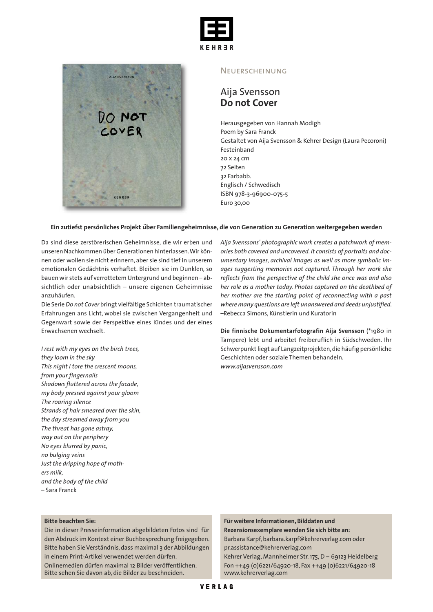



#### **NEUERSCHEINUNG**

# Aija Svensson **Do not Cover**

Herausgegeben von Hannah Modigh Poem by Sara Franck Gestaltet von Aija Svensson & Kehrer Design (Laura Pecoroni) Festeinband 20 x 24 cm 72 Seiten 32 Farbabb. Englisch / Schwedisch ISBN 978-3-96900-075-5 Euro 30,00

## **Ein zutiefst persönliches Projekt** *̈***uber Familiengeheimnisse, die von Generation zu Generation weitergegeben werden**

Da sind diese zerstörerischen Geheimnisse, die wir erben und unseren Nachkommen überGenerationen hinterlassen.Wir können oder wollen sie nicht erinnern, aber sie sind tief in unserem emotionalen Gedächtnis verhaftet. Bleiben sie im Dunklen, so bauen wir stets auf verrottetem Untergrund und beginnen – absichtlich oder unabsichtlich – unsere eigenen Geheimnisse anzuhäufen.

Die Serie*Do not Cover* bringt vielfältige Schichten traumatischer Erfahrungen ans Licht, wobei sie zwischen Vergangenheit und Gegenwart sowie der Perspektive eines Kindes und der eines Erwachsenen wechselt.

*I rest with my eyes on the birch trees, they loom in the sky This night I tore the crescent moons, from your fingernails Shadows fluttered across the facade, my body pressed against your gloom The roaring silence Strands of hair smeared over the skin, the day streamed away from you The threat has gone astray, way out on the periphery No eyes blurred by panic, no bulging veins Just the dripping hope of mothers milk, and the body of the child* – Sara Franck

*Aija Svenssons' photographic work creates a patchwork of memories both covered and uncovered. It consists of portraits and documentary images, archival images as well as more symbolic images suggesting memories not captured. Through her work she reflects from the perspective of the child she once was and also her role as a mother today. Photos captured on the deathbed of her mother are the starting point of reconnecting with a past where many questions are left unanswered and deeds unjustified.* –Rebecca Simons, Künstlerin und Kuratorin

**Die finnische Dokumentarfotografin Aija Svensson** (\*1980 in Tampere) lebt und arbeitet freiberuflich in Südschweden. Ihr Schwerpunkt liegt auf Langzeitprojekten, die häufig persönliche Geschichten oder soziale Themen behandeln. *www.aijasvensson.com*

### **Bitte beachten Sie:**

Die in dieser Presseinformation abgebildeten Fotos sind für den Abdruck im Kontext einer Buchbesprechung freigegeben. Bitte haben Sie Verständnis, dass maximal 3 der Abbildungen in einem Print-Artikel verwendet werden dürfen.

Onlinemedien dürfen maximal 12 Bilder veröffentlichen. Bitte sehen Sie davon ab, die Bilder zu beschneiden.

**Für weitere Informationen, Bilddaten und**

**Rezensionsexemplare wenden Sie sich bitte an:** Barbara Karpf, barbara.karpf@kehrerverlag.com oder

pr.assistance@kehrerverlag.com

Kehrer Verlag, Mannheimer Str.175,D – 69123 Heidelberg Fon ++49 (0)6221/64920-18, Fax ++49 (0)6221/64920-18 www.kehrerverlag.com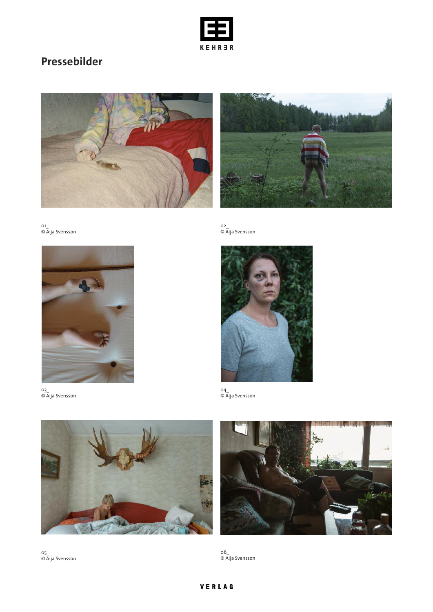

# **Pressebilder**





01\_ © Aija Svensson



03\_ © Aija Svensson

02\_ © Aija Svensson



04\_ © Aija Svensson





05\_ © Aija Svensson

06\_ © Aija Svensson